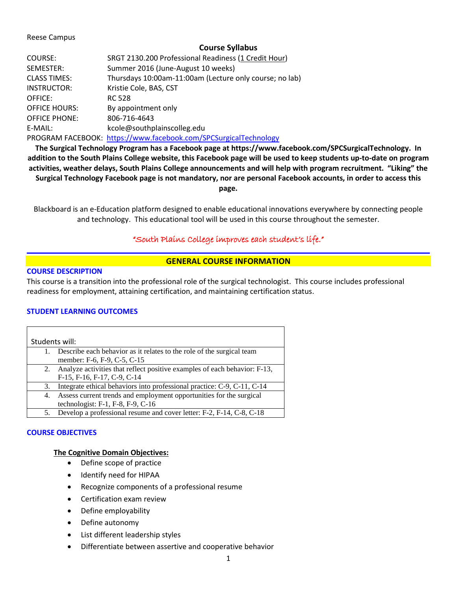#### Reese Campus

### **Course Syllabus**

| COURSE:              | SRGT 2130.200 Professional Readiness (1 Credit Hour)             |
|----------------------|------------------------------------------------------------------|
| SEMESTER:            | Summer 2016 (June-August 10 weeks)                               |
| <b>CLASS TIMES:</b>  | Thursdays 10:00am-11:00am (Lecture only course; no lab)          |
| INSTRUCTOR:          | Kristie Cole, BAS, CST                                           |
| OFFICE:              | <b>RC 528</b>                                                    |
| <b>OFFICE HOURS:</b> | By appointment only                                              |
| <b>OFFICE PHONE:</b> | 806-716-4643                                                     |
| E-MAIL:              | kcole@southplainscolleg.edu                                      |
|                      | PROGRAM FACEBOOK: https://www.facebook.com/SPCSurgicalTechnology |
|                      |                                                                  |

**The Surgical Technology Program has a Facebook page at https://www.facebook.com/SPCSurgicalTechnology. In addition to the South Plains College website, this Facebook page will be used to keep students up-to-date on program activities, weather delays, South Plains College announcements and will help with program recruitment. "Liking" the Surgical Technology Facebook page is not mandatory, nor are personal Facebook accounts, in order to access this page.**

Blackboard is an e-Education platform designed to enable educational innovations everywhere by connecting people and technology. This educational tool will be used in this course throughout the semester.

# "South Plains College improves each student's life."

## **GENERAL COURSE INFORMATION**

### **COURSE DESCRIPTION**

This course is a transition into the professional role of the surgical technologist. This course includes professional readiness for employment, attaining certification, and maintaining certification status.

## **STUDENT LEARNING OUTCOMES**

| Students will: |                                                                           |  |  |
|----------------|---------------------------------------------------------------------------|--|--|
|                | Describe each behavior as it relates to the role of the surgical team     |  |  |
|                | member: F-6, F-9, C-5, C-15                                               |  |  |
| 2.             | Analyze activities that reflect positive examples of each behavior: F-13, |  |  |
|                | F-15, F-16, F-17, C-9, C-14                                               |  |  |
| 3.             | Integrate ethical behaviors into professional practice: C-9, C-11, C-14   |  |  |
| 4.             | Assess current trends and employment opportunities for the surgical       |  |  |
|                | technologist: $F-1$ , $F-8$ , $F-9$ , $C-16$                              |  |  |
|                | Develop a professional resume and cover letter: F-2, F-14, C-8, C-18      |  |  |

### **COURSE OBJECTIVES**

### **The Cognitive Domain Objectives:**

- Define scope of practice
- Identify need for HIPAA
- Recognize components of a professional resume
- Certification exam review
- Define employability
- Define autonomy
- List different leadership styles
- Differentiate between assertive and cooperative behavior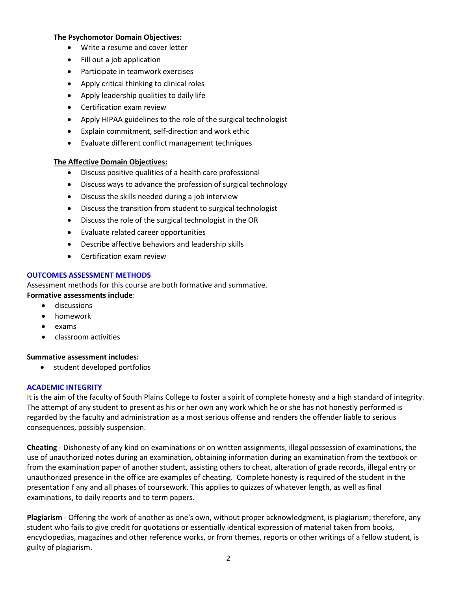#### **The Psychomotor Domain Objectives:**

- Write a resume and cover letter
- Fill out a job application
- Participate in teamwork exercises
- Apply critical thinking to clinical roles
- Apply leadership qualities to daily life
- Certification exam review
- Apply HIPAA guidelines to the role of the surgical technologist
- Explain commitment, self-direction and work ethic
- Evaluate different conflict management techniques

### **The Affective Domain Objectives:**

- Discuss positive qualities of a health care professional
- Discuss ways to advance the profession of surgical technology
- Discuss the skills needed during a job interview
- Discuss the transition from student to surgical technologist
- Discuss the role of the surgical technologist in the OR
- Evaluate related career opportunities
- Describe affective behaviors and leadership skills
- Certification exam review

### **OUTCOMES ASSESSMENT METHODS**

Assessment methods for this course are both formative and summative. **Formative assessments include**:

- discussions
- homework
- exams
- classroom activities

#### **Summative assessment includes:**

• student developed portfolios

#### **ACADEMIC INTEGRITY**

It is the aim of the faculty of South Plains College to foster a spirit of complete honesty and a high standard of integrity. The attempt of any student to present as his or her own any work which he or she has not honestly performed is regarded by the faculty and administration as a most serious offense and renders the offender liable to serious consequences, possibly suspension.

**Cheating** - Dishonesty of any kind on examinations or on written assignments, illegal possession of examinations, the use of unauthorized notes during an examination, obtaining information during an examination from the textbook or from the examination paper of another student, assisting others to cheat, alteration of grade records, illegal entry or unauthorized presence in the office are examples of cheating. Complete honesty is required of the student in the presentation f any and all phases of coursework. This applies to quizzes of whatever length, as well as final examinations, to daily reports and to term papers.

**Plagiarism** - Offering the work of another as one's own, without proper acknowledgment, is plagiarism; therefore, any student who fails to give credit for quotations or essentially identical expression of material taken from books, encyclopedias, magazines and other reference works, or from themes, reports or other writings of a fellow student, is guilty of plagiarism.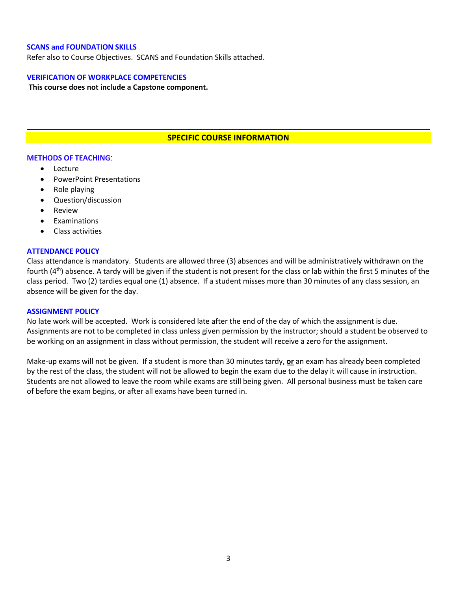#### **SCANS and FOUNDATION SKILLS**

Refer also to Course Objectives. SCANS and Foundation Skills attached.

#### **VERIFICATION OF WORKPLACE COMPETENCIES**

**This course does not include a Capstone component.**

### **SPECIFIC COURSE INFORMATION**

#### **METHODS OF TEACHING**:

- **Lecture**
- PowerPoint Presentations
- Role playing
- Question/discussion
- **Review**
- **Examinations**
- Class activities

#### **ATTENDANCE POLICY**

Class attendance is mandatory. Students are allowed three (3) absences and will be administratively withdrawn on the fourth (4<sup>th</sup>) absence. A tardy will be given if the student is not present for the class or lab within the first 5 minutes of the class period. Two (2) tardies equal one (1) absence. If a student misses more than 30 minutes of any class session, an absence will be given for the day.

#### **ASSIGNMENT POLICY**

No late work will be accepted. Work is considered late after the end of the day of which the assignment is due. Assignments are not to be completed in class unless given permission by the instructor; should a student be observed to be working on an assignment in class without permission, the student will receive a zero for the assignment.

Make-up exams will not be given. If a student is more than 30 minutes tardy, **or** an exam has already been completed by the rest of the class, the student will not be allowed to begin the exam due to the delay it will cause in instruction. Students are not allowed to leave the room while exams are still being given. All personal business must be taken care of before the exam begins, or after all exams have been turned in.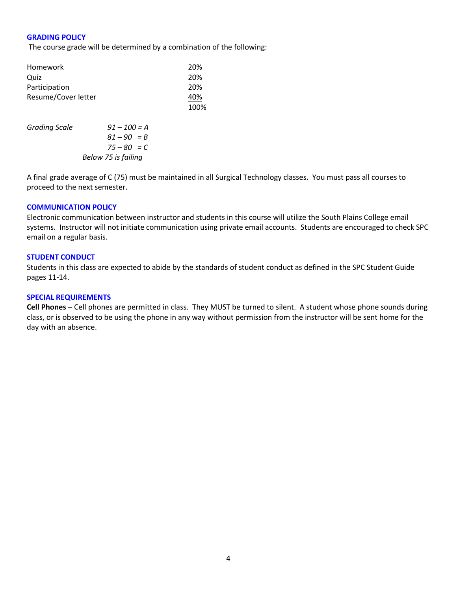#### **GRADING POLICY**

The course grade will be determined by a combination of the following:

| Homework             |                | 20%  |
|----------------------|----------------|------|
| Quiz                 |                | 20%  |
| Participation        |                | 20%  |
| Resume/Cover letter  | 40%            |      |
|                      |                | 100% |
| <b>Grading Scale</b> | $91 - 100 = A$ |      |
|                      | $81 - 90 = B$  |      |
|                      | $75 - 80 = C$  |      |

 *Below 75 is failing*

A final grade average of C (75) must be maintained in all Surgical Technology classes. You must pass all courses to proceed to the next semester.

#### **COMMUNICATION POLICY**

Electronic communication between instructor and students in this course will utilize the South Plains College email systems. Instructor will not initiate communication using private email accounts. Students are encouraged to check SPC email on a regular basis.

#### **STUDENT CONDUCT**

Students in this class are expected to abide by the standards of student conduct as defined in the SPC Student Guide pages 11-14.

#### **SPECIAL REQUIREMENTS**

**Cell Phones** – Cell phones are permitted in class. They MUST be turned to silent. A student whose phone sounds during class, or is observed to be using the phone in any way without permission from the instructor will be sent home for the day with an absence.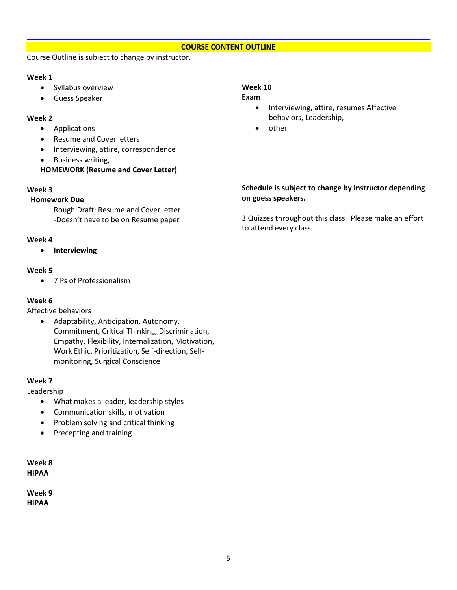## **COURSE CONTENT OUTLINE**

Course Outline is subject to change by instructor.

### **Week 1**

- Syllabus overview
- Guess Speaker

### **Week 2**

- Applications
- Resume and Cover letters
- Interviewing, attire, correspondence
- Business writing,

## **HOMEWORK (Resume and Cover Letter)**

### **Week 3**

### **Homework Due**

Rough Draft: Resume and Cover letter -Doesn't have to be on Resume paper

## **Week 4**

• **Interviewing**

## **Week 5**

• 7 Ps of Professionalism

## **Week 6**

Affective behaviors

• Adaptability, Anticipation, Autonomy, Commitment, Critical Thinking, Discrimination, Empathy, Flexibility, Internalization, Motivation, Work Ethic, Prioritization, Self-direction, Selfmonitoring, Surgical Conscience

### **Week 7**

Leadership

- What makes a leader, leadership styles
- Communication skills, motivation
- Problem solving and critical thinking
- Precepting and training

**Week 8 HIPAA**

**Week 9 HIPAA**

# **Week 10**

#### **Exam**

- Interviewing, attire, resumes Affective behaviors, Leadership,
- other

## **Schedule is subject to change by instructor depending on guess speakers.**

3 Quizzes throughout this class. Please make an effort to attend every class.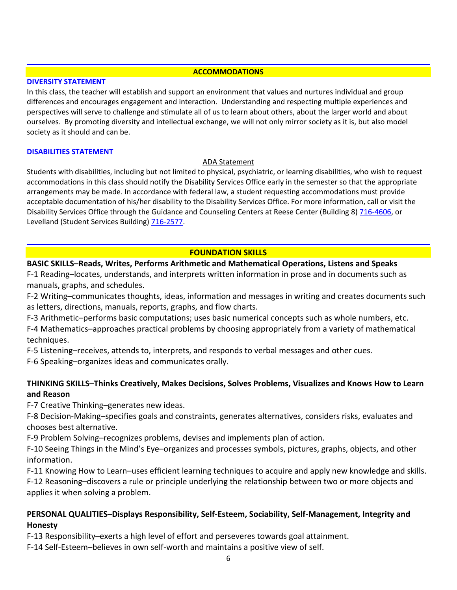### **ACCOMMODATIONS**

## **DIVERSITY STATEMENT**

In this class, the teacher will establish and support an environment that values and nurtures individual and group differences and encourages engagement and interaction. Understanding and respecting multiple experiences and perspectives will serve to challenge and stimulate all of us to learn about others, about the larger world and about ourselves. By promoting diversity and intellectual exchange, we will not only mirror society as it is, but also model society as it should and can be.

## **DISABILITIES STATEMENT**

## ADA Statement

Students with disabilities, including but not limited to physical, psychiatric, or learning disabilities, who wish to request accommodations in this class should notify the Disability Services Office early in the semester so that the appropriate arrangements may be made. In accordance with federal law, a student requesting accommodations must provide acceptable documentation of his/her disability to the Disability Services Office. For more information, call or visit the Disability Services Office through the Guidance and Counseling Centers at Reese Center (Building 8) [716-4606,](tel:716-4606) or Levelland (Student Services Building) [716-2577.](tel:716-2577)

# **FOUNDATION SKILLS**

# **BASIC SKILLS–Reads, Writes, Performs Arithmetic and Mathematical Operations, Listens and Speaks**

F-1 Reading–locates, understands, and interprets written information in prose and in documents such as manuals, graphs, and schedules.

F-2 Writing–communicates thoughts, ideas, information and messages in writing and creates documents such as letters, directions, manuals, reports, graphs, and flow charts.

F-3 Arithmetic–performs basic computations; uses basic numerical concepts such as whole numbers, etc.

F-4 Mathematics–approaches practical problems by choosing appropriately from a variety of mathematical techniques.

F-5 Listening–receives, attends to, interprets, and responds to verbal messages and other cues.

F-6 Speaking–organizes ideas and communicates orally.

# **THINKING SKILLS–Thinks Creatively, Makes Decisions, Solves Problems, Visualizes and Knows How to Learn and Reason**

F-7 Creative Thinking–generates new ideas.

F-8 Decision-Making–specifies goals and constraints, generates alternatives, considers risks, evaluates and chooses best alternative.

F-9 Problem Solving–recognizes problems, devises and implements plan of action.

F-10 Seeing Things in the Mind's Eye–organizes and processes symbols, pictures, graphs, objects, and other information.

F-11 Knowing How to Learn–uses efficient learning techniques to acquire and apply new knowledge and skills.

F-12 Reasoning–discovers a rule or principle underlying the relationship between two or more objects and applies it when solving a problem.

# **PERSONAL QUALITIES–Displays Responsibility, Self-Esteem, Sociability, Self-Management, Integrity and Honesty**

F-13 Responsibility–exerts a high level of effort and perseveres towards goal attainment.

F-14 Self-Esteem–believes in own self-worth and maintains a positive view of self.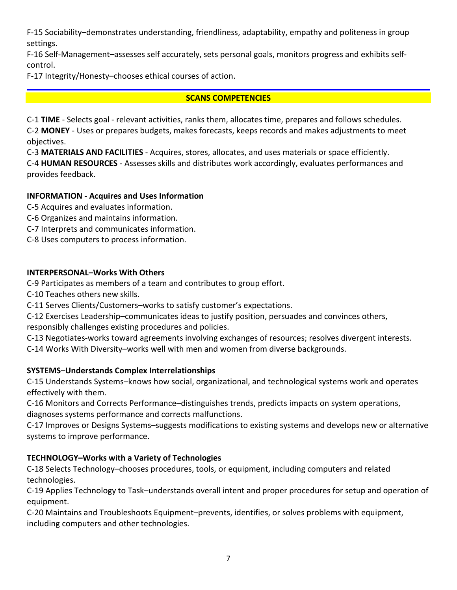F-15 Sociability–demonstrates understanding, friendliness, adaptability, empathy and politeness in group settings.

F-16 Self-Management–assesses self accurately, sets personal goals, monitors progress and exhibits selfcontrol.

F-17 Integrity/Honesty–chooses ethical courses of action.

# **SCANS COMPETENCIES**

C-1 **TIME** - Selects goal - relevant activities, ranks them, allocates time, prepares and follows schedules. C-2 **MONEY** - Uses or prepares budgets, makes forecasts, keeps records and makes adjustments to meet objectives.

C-3 **MATERIALS AND FACILITIES** - Acquires, stores, allocates, and uses materials or space efficiently.

C-4 **HUMAN RESOURCES** - Assesses skills and distributes work accordingly, evaluates performances and provides feedback.

# **INFORMATION - Acquires and Uses Information**

C-5 Acquires and evaluates information.

- C-6 Organizes and maintains information.
- C-7 Interprets and communicates information.
- C-8 Uses computers to process information.

# **INTERPERSONAL–Works With Others**

C-9 Participates as members of a team and contributes to group effort.

C-10 Teaches others new skills.

C-11 Serves Clients/Customers–works to satisfy customer's expectations.

C-12 Exercises Leadership–communicates ideas to justify position, persuades and convinces others, responsibly challenges existing procedures and policies.

C-13 Negotiates-works toward agreements involving exchanges of resources; resolves divergent interests.

C-14 Works With Diversity–works well with men and women from diverse backgrounds.

# **SYSTEMS–Understands Complex Interrelationships**

C-15 Understands Systems–knows how social, organizational, and technological systems work and operates effectively with them.

C-16 Monitors and Corrects Performance–distinguishes trends, predicts impacts on system operations, diagnoses systems performance and corrects malfunctions.

C-17 Improves or Designs Systems–suggests modifications to existing systems and develops new or alternative systems to improve performance.

# **TECHNOLOGY–Works with a Variety of Technologies**

C-18 Selects Technology–chooses procedures, tools, or equipment, including computers and related technologies.

C-19 Applies Technology to Task–understands overall intent and proper procedures for setup and operation of equipment.

C-20 Maintains and Troubleshoots Equipment–prevents, identifies, or solves problems with equipment, including computers and other technologies.